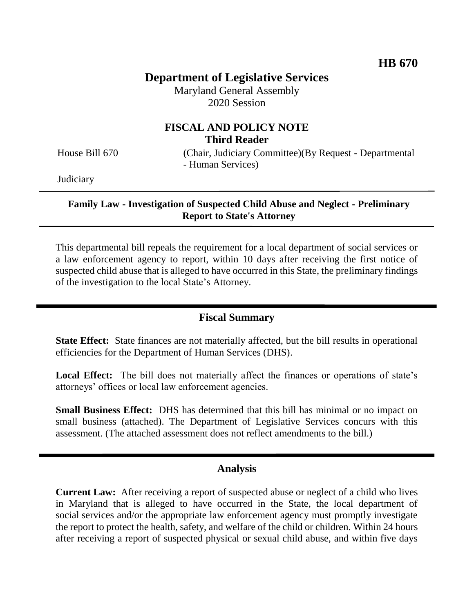# **Department of Legislative Services**

Maryland General Assembly 2020 Session

# **FISCAL AND POLICY NOTE Third Reader**

House Bill 670 (Chair, Judiciary Committee)(By Request - Departmental - Human Services)

**Judiciary** 

#### **Family Law - Investigation of Suspected Child Abuse and Neglect - Preliminary Report to State's Attorney**

This departmental bill repeals the requirement for a local department of social services or a law enforcement agency to report, within 10 days after receiving the first notice of suspected child abuse that is alleged to have occurred in this State, the preliminary findings of the investigation to the local State's Attorney.

### **Fiscal Summary**

**State Effect:** State finances are not materially affected, but the bill results in operational efficiencies for the Department of Human Services (DHS).

Local Effect: The bill does not materially affect the finances or operations of state's attorneys' offices or local law enforcement agencies.

**Small Business Effect:** DHS has determined that this bill has minimal or no impact on small business (attached). The Department of Legislative Services concurs with this assessment. (The attached assessment does not reflect amendments to the bill.)

### **Analysis**

**Current Law:** After receiving a report of suspected abuse or neglect of a child who lives in Maryland that is alleged to have occurred in the State, the local department of social services and/or the appropriate law enforcement agency must promptly investigate the report to protect the health, safety, and welfare of the child or children. Within 24 hours after receiving a report of suspected physical or sexual child abuse, and within five days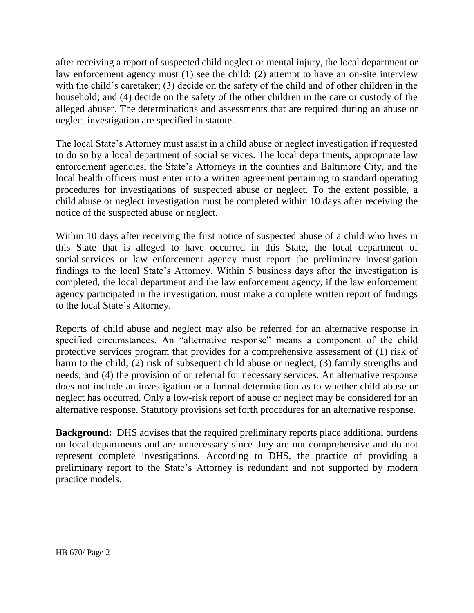after receiving a report of suspected child neglect or mental injury, the local department or law enforcement agency must (1) see the child; (2) attempt to have an on-site interview with the child's caretaker; (3) decide on the safety of the child and of other children in the household; and (4) decide on the safety of the other children in the care or custody of the alleged abuser. The determinations and assessments that are required during an abuse or neglect investigation are specified in statute.

The local State's Attorney must assist in a child abuse or neglect investigation if requested to do so by a local department of social services. The local departments, appropriate law enforcement agencies, the State's Attorneys in the counties and Baltimore City, and the local health officers must enter into a written agreement pertaining to standard operating procedures for investigations of suspected abuse or neglect. To the extent possible, a child abuse or neglect investigation must be completed within 10 days after receiving the notice of the suspected abuse or neglect.

Within 10 days after receiving the first notice of suspected abuse of a child who lives in this State that is alleged to have occurred in this State, the local department of social services or law enforcement agency must report the preliminary investigation findings to the local State's Attorney. Within 5 business days after the investigation is completed, the local department and the law enforcement agency, if the law enforcement agency participated in the investigation, must make a complete written report of findings to the local State's Attorney.

Reports of child abuse and neglect may also be referred for an alternative response in specified circumstances. An "alternative response" means a component of the child protective services program that provides for a comprehensive assessment of (1) risk of harm to the child; (2) risk of subsequent child abuse or neglect; (3) family strengths and needs; and (4) the provision of or referral for necessary services. An alternative response does not include an investigation or a formal determination as to whether child abuse or neglect has occurred. Only a low-risk report of abuse or neglect may be considered for an alternative response. Statutory provisions set forth procedures for an alternative response.

**Background:** DHS advises that the required preliminary reports place additional burdens on local departments and are unnecessary since they are not comprehensive and do not represent complete investigations. According to DHS, the practice of providing a preliminary report to the State's Attorney is redundant and not supported by modern practice models.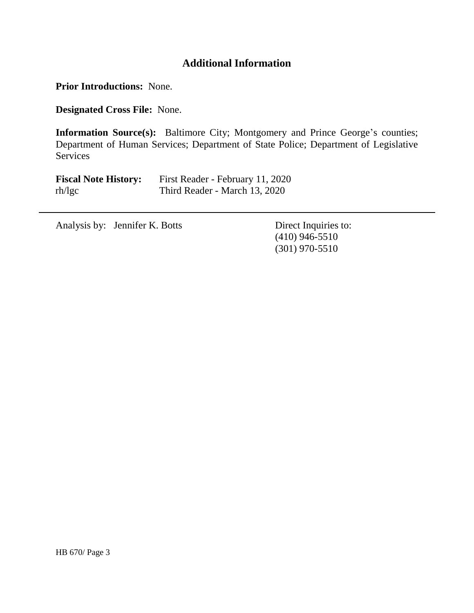# **Additional Information**

**Prior Introductions:** None.

**Designated Cross File:** None.

**Information Source(s):** Baltimore City; Montgomery and Prince George's counties; Department of Human Services; Department of State Police; Department of Legislative **Services** 

| <b>Fiscal Note History:</b> | First Reader - February 11, 2020 |
|-----------------------------|----------------------------------|
| rh/lgc                      | Third Reader - March 13, 2020    |

Analysis by: Jennifer K. Botts Direct Inquiries to:

(410) 946-5510 (301) 970-5510